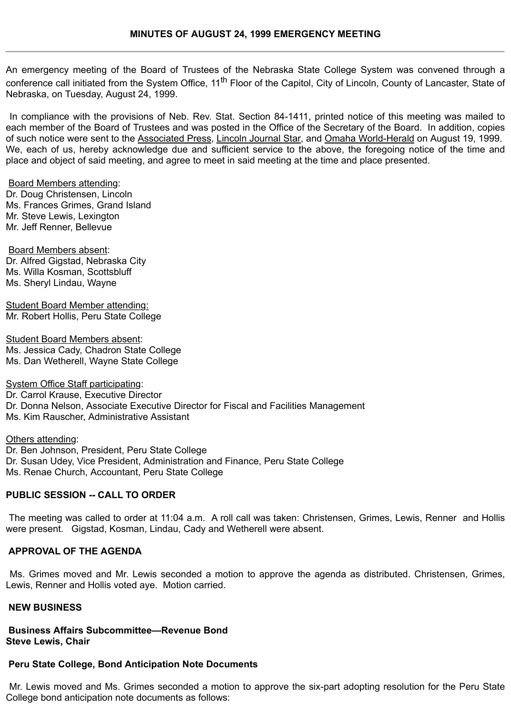An emergency meeting of the Board of Trustees of the Nebraska State College System was convened through a conference call initiated from the System Office, 11<sup>th</sup> Floor of the Capitol, City of Lincoln, County of Lancaster, State of Nebraska, on Tuesday, August 24, 1999.

 In compliance with the provisions of Neb. Rev. Stat. Section 84-1411, printed notice of this meeting was mailed to each member of the Board of Trustees and was posted in the Office of the Secretary of the Board. In addition, copies of such notice were sent to the Associated Press, Lincoln Journal Star, and Omaha World-Herald on August 19, 1999. We, each of us, hereby acknowledge due and sufficient service to the above, the foregoing notice of the time and place and object of said meeting, and agree to meet in said meeting at the time and place presented.

Board Members attending:

Dr. Doug Christensen, Lincoln Ms. Frances Grimes, Grand Island Mr. Steve Lewis, Lexington Mr. Jeff Renner, Bellevue

Board Members absent: Dr. Alfred Gigstad, Nebraska City Ms. Willa Kosman, Scottsbluff Ms. Sheryl Lindau, Wayne

Student Board Member attending: Mr. Robert Hollis, Peru State College

Student Board Members absent: Ms. Jessica Cady, Chadron State College Ms. Dan Wetherell, Wayne State College

System Office Staff participating: Dr. Carrol Krause, Executive Director Dr. Donna Nelson, Associate Executive Director for Fiscal and Facilities Management Ms. Kim Rauscher, Administrative Assistant

Others attending: Dr. Ben Johnson, President, Peru State College Dr. Susan Udey, Vice President, Administration and Finance, Peru State College Ms. Renae Church, Accountant, Peru State College

## **PUBLIC SESSION -- CALL TO ORDER**

 The meeting was called to order at 11:04 a.m. A roll call was taken: Christensen, Grimes, Lewis, Renner and Hollis were present. Gigstad, Kosman, Lindau, Cady and Wetherell were absent.

## **APPROVAL OF THE AGENDA**

 Ms. Grimes moved and Mr. Lewis seconded a motion to approve the agenda as distributed. Christensen, Grimes, Lewis, Renner and Hollis voted aye. Motion carried.

#### **NEW BUSINESS**

**Business Affairs Subcommittee—Revenue Bond Steve Lewis, Chair**

# **Peru State College, Bond Anticipation Note Documents**

 Mr. Lewis moved and Ms. Grimes seconded a motion to approve the six-part adopting resolution for the Peru State College bond anticipation note documents as follows: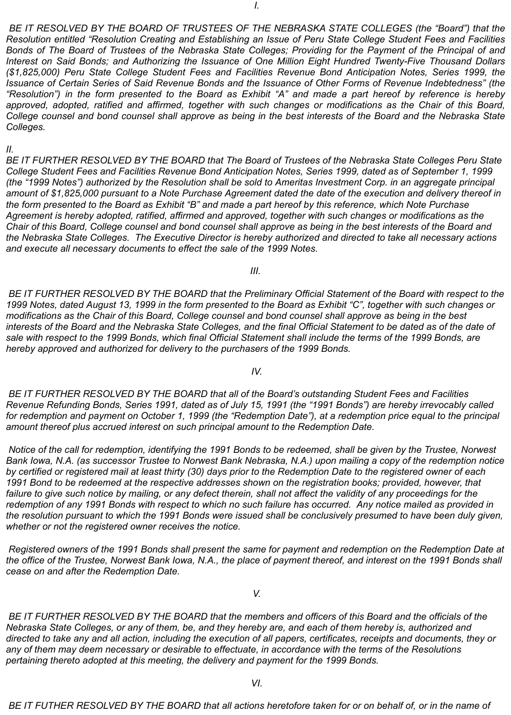*BE IT RESOLVED BY THE BOARD OF TRUSTEES OF THE NEBRASKA STATE COLLEGES (the "Board") that the Resolution entitled "Resolution Creating and Establishing an Issue of Peru State College Student Fees and Facilities Bonds of The Board of Trustees of the Nebraska State Colleges; Providing for the Payment of the Principal of and Interest on Said Bonds; and Authorizing the Issuance of One Million Eight Hundred Twenty-Five Thousand Dollars (\$1,825,000) Peru State College Student Fees and Facilities Revenue Bond Anticipation Notes, Series 1999, the Issuance of Certain Series of Said Revenue Bonds and the Issuance of Other Forms of Revenue Indebtedness" (the "Resolution") in the form presented to the Board as Exhibit "A" and made a part hereof by reference is hereby approved, adopted, ratified and affirmed, together with such changes or modifications as the Chair of this Board, College counsel and bond counsel shall approve as being in the best interests of the Board and the Nebraska State Colleges.*

### *II.*

*BE IT FURTHER RESOLVED BY THE BOARD that The Board of Trustees of the Nebraska State Colleges Peru State College Student Fees and Facilities Revenue Bond Anticipation Notes, Series 1999, dated as of September 1, 1999 (the "1999 Notes") authorized by the Resolution shall be sold to Ameritas Investment Corp. in an aggregate principal amount of \$1,825,000 pursuant to a Note Purchase Agreement dated the date of the execution and delivery thereof in the form presented to the Board as Exhibit "B" and made a part hereof by this reference, which Note Purchase Agreement is hereby adopted, ratified, affirmed and approved, together with such changes or modifications as the Chair of this Board, College counsel and bond counsel shall approve as being in the best interests of the Board and the Nebraska State Colleges. The Executive Director is hereby authorized and directed to take all necessary actions and execute all necessary documents to effect the sale of the 1999 Notes.*

*III.*

 *BE IT FURTHER RESOLVED BY THE BOARD that the Preliminary Official Statement of the Board with respect to the 1999 Notes, dated August 13, 1999 in the form presented to the Board as Exhibit "C", together with such changes or modifications as the Chair of this Board, College counsel and bond counsel shall approve as being in the best interests of the Board and the Nebraska State Colleges, and the final Official Statement to be dated as of the date of sale with respect to the 1999 Bonds, which final Official Statement shall include the terms of the 1999 Bonds, are hereby approved and authorized for delivery to the purchasers of the 1999 Bonds.*

## *IV.*

 *BE IT FURTHER RESOLVED BY THE BOARD that all of the Board's outstanding Student Fees and Facilities Revenue Refunding Bonds, Series 1991, dated as of July 15, 1991 (the "1991 Bonds") are hereby irrevocably called for redemption and payment on October 1, 1999 (the "Redemption Date"), at a redemption price equal to the principal amount thereof plus accrued interest on such principal amount to the Redemption Date.*

 *Notice of the call for redemption, identifying the 1991 Bonds to be redeemed, shall be given by the Trustee, Norwest Bank Iowa, N.A. (as successor Trustee to Norwest Bank Nebraska, N.A.) upon mailing a copy of the redemption notice by certified or registered mail at least thirty (30) days prior to the Redemption Date to the registered owner of each 1991 Bond to be redeemed at the respective addresses shown on the registration books; provided, however, that* failure to give such notice by mailing, or any defect therein, shall not affect the validity of any proceedings for the *redemption of any 1991 Bonds with respect to which no such failure has occurred. Any notice mailed as provided in the resolution pursuant to which the 1991 Bonds were issued shall be conclusively presumed to have been duly given, whether or not the registered owner receives the notice.*

 *Registered owners of the 1991 Bonds shall present the same for payment and redemption on the Redemption Date at the office of the Trustee, Norwest Bank Iowa, N.A., the place of payment thereof, and interest on the 1991 Bonds shall cease on and after the Redemption Date.*

 *V.*

 *BE IT FURTHER RESOLVED BY THE BOARD that the members and officers of this Board and the officials of the Nebraska State Colleges, or any of them, be, and they hereby are, and each of them hereby is, authorized and directed to take any and all action, including the execution of all papers, certificates, receipts and documents, they or any of them may deem necessary or desirable to effectuate, in accordance with the terms of the Resolutions pertaining thereto adopted at this meeting, the delivery and payment for the 1999 Bonds.*

 *BE IT FUTHER RESOLVED BY THE BOARD that all actions heretofore taken for or on behalf of, or in the name of*